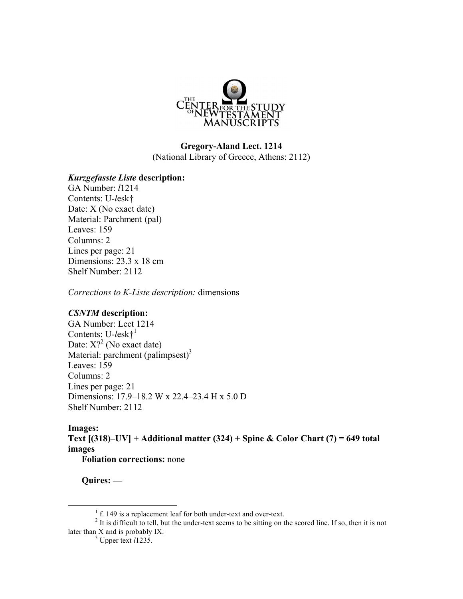

# **Gregory-Aland Lect. 1214** (National Library of Greece, Athens: 2112)

### *Kurzgefasste Liste* **description:**

GA Number: *l*1214 Contents: U-*l*esk† Date: X (No exact date) Material: Parchment (pal) Leaves: 159 Columns: 2 Lines per page: 21 Dimensions: 23.3 x 18 cm Shelf Number: 2112

*Corrections to K-Liste description:* dimensions

### *CSNTM* **description:**

GA Number: Lect 1214 Contents: U-*l*esk†1 Date:  $X$ ?<sup>2</sup> (No exact date) Material: parchment  $(palimpsest)^3$ Leaves: 159 Columns: 2 Lines per page: 21 Dimensions: 17.9–18.2 W x 22.4–23.4 H x 5.0 D Shelf Number: 2112

#### **Images:**

**Text [(318)–UV] + Additional matter (324) + Spine & Color Chart (7) = 649 total images Foliation corrections:** none

**Quires: —**

<sup>&</sup>lt;sup>1</sup> f. 149 is a replacement leaf for both under-text and over-text. <sup>2</sup> It is difficult to tell, but the under-text seems to be sitting on the scored line. If so, then it is not later than X and is probably IX.<br><sup>3</sup> Upper text *l*1235.